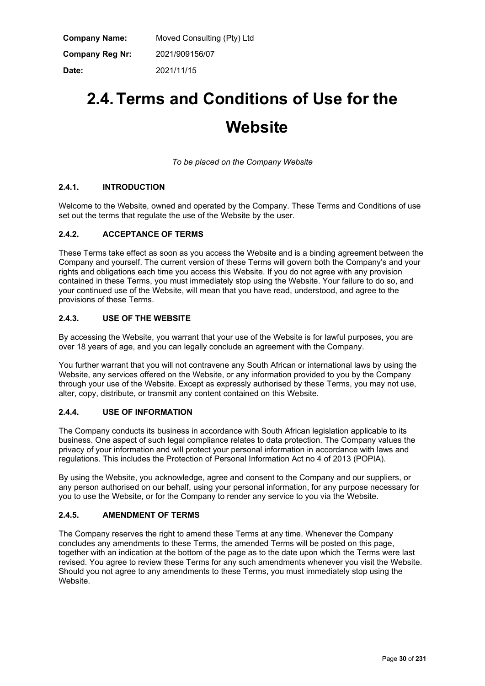| Company Name:   | Moved Consulting (Pty) Ltd |
|-----------------|----------------------------|
| Company Reg Nr: | 2021/909156/07             |
| Date:           | 2021/11/15                 |

# **2.4.Terms and Conditions of Use for the Website**

*To be placed on the Company Website*

# **2.4.1. INTRODUCTION**

Welcome to the Website, owned and operated by the Company. These Terms and Conditions of use set out the terms that regulate the use of the Website by the user.

# **2.4.2. ACCEPTANCE OF TERMS**

These Terms take effect as soon as you access the Website and is a binding agreement between the Company and yourself. The current version of these Terms will govern both the Company's and your rights and obligations each time you access this Website. If you do not agree with any provision contained in these Terms, you must immediately stop using the Website. Your failure to do so, and your continued use of the Website, will mean that you have read, understood, and agree to the provisions of these Terms.

# **2.4.3. USE OF THE WEBSITE**

By accessing the Website, you warrant that your use of the Website is for lawful purposes, you are over 18 years of age, and you can legally conclude an agreement with the Company.

You further warrant that you will not contravene any South African or international laws by using the Website, any services offered on the Website, or any information provided to you by the Company through your use of the Website. Except as expressly authorised by these Terms, you may not use, alter, copy, distribute, or transmit any content contained on this Website.

# **2.4.4. USE OF INFORMATION**

The Company conducts its business in accordance with South African legislation applicable to its business. One aspect of such legal compliance relates to data protection. The Company values the privacy of your information and will protect your personal information in accordance with laws and regulations. This includes the Protection of Personal Information Act no 4 of 2013 (POPIA).

By using the Website, you acknowledge, agree and consent to the Company and our suppliers, or any person authorised on our behalf, using your personal information, for any purpose necessary for you to use the Website, or for the Company to render any service to you via the Website.

# **2.4.5. AMENDMENT OF TERMS**

The Company reserves the right to amend these Terms at any time. Whenever the Company concludes any amendments to these Terms, the amended Terms will be posted on this page, together with an indication at the bottom of the page as to the date upon which the Terms were last revised. You agree to review these Terms for any such amendments whenever you visit the Website. Should you not agree to any amendments to these Terms, you must immediately stop using the Website.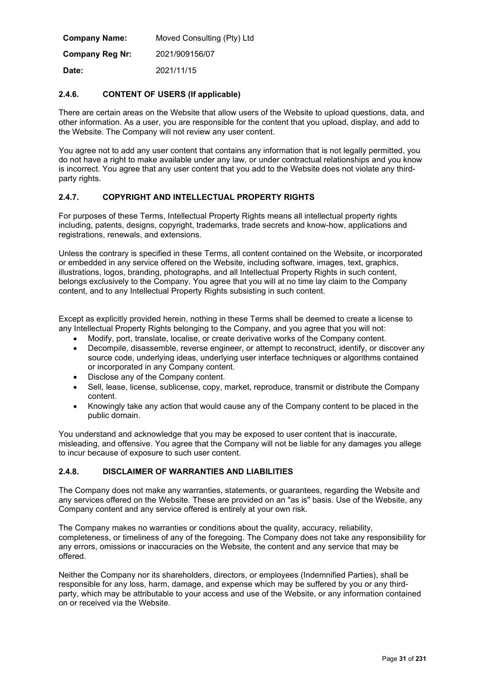| <b>Company Name:</b>   | Moved Consulting (Pty) Ltd |
|------------------------|----------------------------|
| <b>Company Reg Nr:</b> | 2021/909156/07             |
| Date:                  | 2021/11/15                 |

# **2.4.6. CONTENT OF USERS (If applicable)**

There are certain areas on the Website that allow users of the Website to upload questions, data, and other information. As a user, you are responsible for the content that you upload, display, and add to the Website. The Company will not review any user content.

You agree not to add any user content that contains any information that is not legally permitted, you do not have a right to make available under any law, or under contractual relationships and you know is incorrect. You agree that any user content that you add to the Website does not violate any thirdparty rights.

#### **2.4.7. COPYRIGHT AND INTELLECTUAL PROPERTY RIGHTS**

For purposes of these Terms, Intellectual Property Rights means all intellectual property rights including, patents, designs, copyright, trademarks, trade secrets and know-how, applications and registrations, renewals, and extensions.

Unless the contrary is specified in these Terms, all content contained on the Website, or incorporated or embedded in any service offered on the Website, including software, images, text, graphics, illustrations, logos, branding, photographs, and all Intellectual Property Rights in such content, belongs exclusively to the Company. You agree that you will at no time lay claim to the Company content, and to any Intellectual Property Rights subsisting in such content.

Except as explicitly provided herein, nothing in these Terms shall be deemed to create a license to any Intellectual Property Rights belonging to the Company, and you agree that you will not:

- Modify, port, translate, localise, or create derivative works of the Company content.
- Decompile, disassemble, reverse engineer, or attempt to reconstruct, identify, or discover any source code, underlying ideas, underlying user interface techniques or algorithms contained or incorporated in any Company content.
- Disclose any of the Company content.
- Sell, lease, license, sublicense, copy, market, reproduce, transmit or distribute the Company content.
- Knowingly take any action that would cause any of the Company content to be placed in the public domain.

You understand and acknowledge that you may be exposed to user content that is inaccurate, misleading, and offensive. You agree that the Company will not be liable for any damages you allege to incur because of exposure to such user content.

# **2.4.8. DISCLAIMER OF WARRANTIES AND LIABILITIES**

The Company does not make any warranties, statements, or guarantees, regarding the Website and any services offered on the Website. These are provided on an "as is" basis. Use of the Website, any Company content and any service offered is entirely at your own risk.

The Company makes no warranties or conditions about the quality, accuracy, reliability, completeness, or timeliness of any of the foregoing. The Company does not take any responsibility for any errors, omissions or inaccuracies on the Website, the content and any service that may be offered.

Neither the Company nor its shareholders, directors, or employees (Indemnified Parties), shall be responsible for any loss, harm, damage, and expense which may be suffered by you or any thirdparty, which may be attributable to your access and use of the Website, or any information contained on or received via the Website.